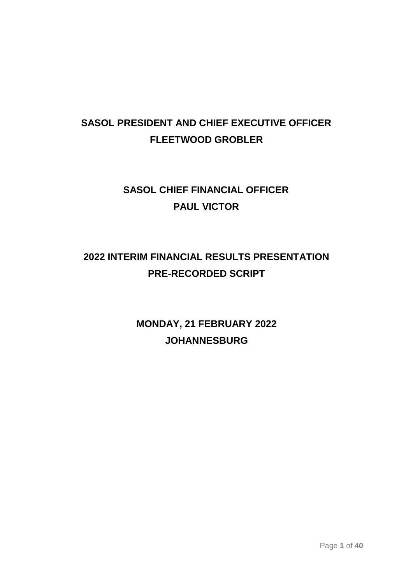# **SASOL PRESIDENT AND CHIEF EXECUTIVE OFFICER FLEETWOOD GROBLER**

# **SASOL CHIEF FINANCIAL OFFICER PAUL VICTOR**

# **2022 INTERIM FINANCIAL RESULTS PRESENTATION PRE-RECORDED SCRIPT**

**MONDAY, 21 FEBRUARY 2022 JOHANNESBURG**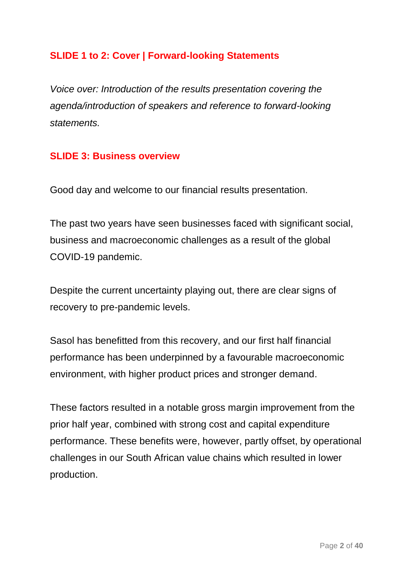### **SLIDE 1 to 2: Cover | Forward-looking Statements**

*Voice over: Introduction of the results presentation covering the agenda/introduction of speakers and reference to forward-looking statements.* 

#### **SLIDE 3: Business overview**

Good day and welcome to our financial results presentation.

The past two years have seen businesses faced with significant social, business and macroeconomic challenges as a result of the global COVID-19 pandemic.

Despite the current uncertainty playing out, there are clear signs of recovery to pre-pandemic levels.

Sasol has benefitted from this recovery, and our first half financial performance has been underpinned by a favourable macroeconomic environment, with higher product prices and stronger demand.

These factors resulted in a notable gross margin improvement from the prior half year, combined with strong cost and capital expenditure performance. These benefits were, however, partly offset, by operational challenges in our South African value chains which resulted in lower production.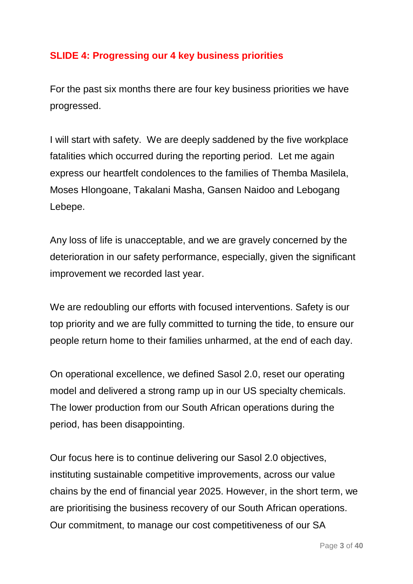### **SLIDE 4: Progressing our 4 key business priorities**

For the past six months there are four key business priorities we have progressed.

I will start with safety. We are deeply saddened by the five workplace fatalities which occurred during the reporting period. Let me again express our heartfelt condolences to the families of Themba Masilela, Moses Hlongoane, Takalani Masha, Gansen Naidoo and Lebogang Lebepe.

Any loss of life is unacceptable, and we are gravely concerned by the deterioration in our safety performance, especially, given the significant improvement we recorded last year.

We are redoubling our efforts with focused interventions. Safety is our top priority and we are fully committed to turning the tide, to ensure our people return home to their families unharmed, at the end of each day.

On operational excellence, we defined Sasol 2.0, reset our operating model and delivered a strong ramp up in our US specialty chemicals. The lower production from our South African operations during the period, has been disappointing.

Our focus here is to continue delivering our Sasol 2.0 objectives, instituting sustainable competitive improvements, across our value chains by the end of financial year 2025. However, in the short term, we are prioritising the business recovery of our South African operations. Our commitment, to manage our cost competitiveness of our SA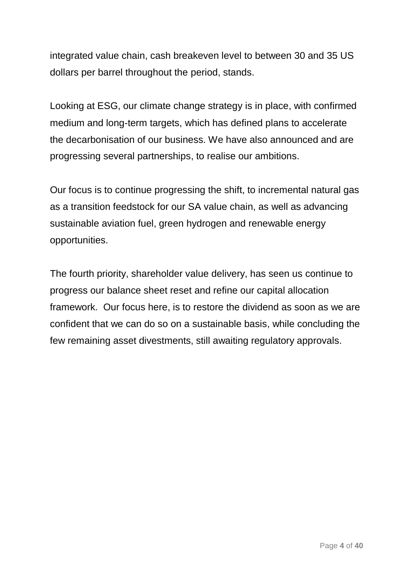integrated value chain, cash breakeven level to between 30 and 35 US dollars per barrel throughout the period, stands.

Looking at ESG, our climate change strategy is in place, with confirmed medium and long-term targets, which has defined plans to accelerate the decarbonisation of our business. We have also announced and are progressing several partnerships, to realise our ambitions.

Our focus is to continue progressing the shift, to incremental natural gas as a transition feedstock for our SA value chain, as well as advancing sustainable aviation fuel, green hydrogen and renewable energy opportunities.

The fourth priority, shareholder value delivery, has seen us continue to progress our balance sheet reset and refine our capital allocation framework. Our focus here, is to restore the dividend as soon as we are confident that we can do so on a sustainable basis, while concluding the few remaining asset divestments, still awaiting regulatory approvals.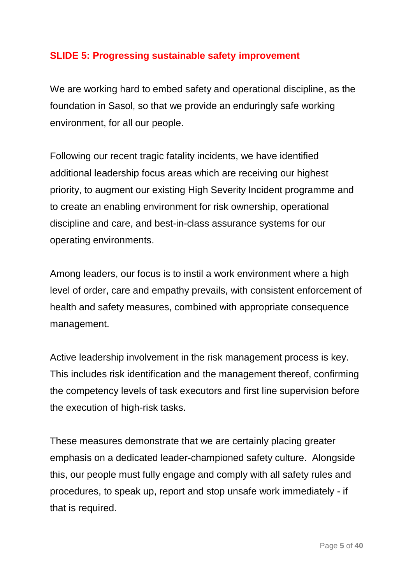### **SLIDE 5: Progressing sustainable safety improvement**

We are working hard to embed safety and operational discipline, as the foundation in Sasol, so that we provide an enduringly safe working environment, for all our people.

Following our recent tragic fatality incidents, we have identified additional leadership focus areas which are receiving our highest priority, to augment our existing High Severity Incident programme and to create an enabling environment for risk ownership, operational discipline and care, and best-in-class assurance systems for our operating environments.

Among leaders, our focus is to instil a work environment where a high level of order, care and empathy prevails, with consistent enforcement of health and safety measures, combined with appropriate consequence management.

Active leadership involvement in the risk management process is key. This includes risk identification and the management thereof, confirming the competency levels of task executors and first line supervision before the execution of high-risk tasks.

These measures demonstrate that we are certainly placing greater emphasis on a dedicated leader-championed safety culture. Alongside this, our people must fully engage and comply with all safety rules and procedures, to speak up, report and stop unsafe work immediately - if that is required.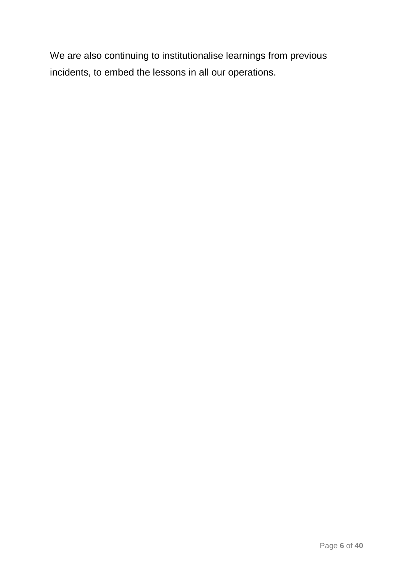We are also continuing to institutionalise learnings from previous incidents, to embed the lessons in all our operations.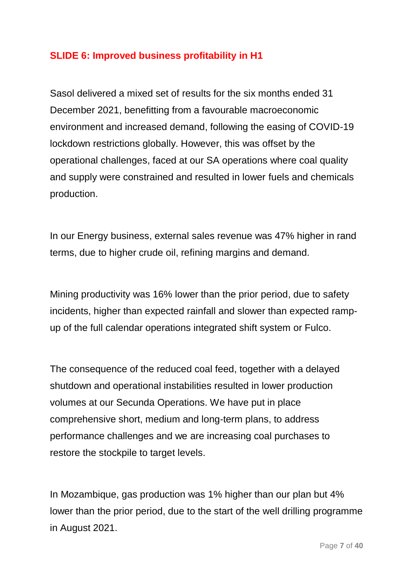### **SLIDE 6: Improved business profitability in H1**

Sasol delivered a mixed set of results for the six months ended 31 December 2021, benefitting from a favourable macroeconomic environment and increased demand, following the easing of COVID-19 lockdown restrictions globally. However, this was offset by the operational challenges, faced at our SA operations where coal quality and supply were constrained and resulted in lower fuels and chemicals production.

In our Energy business, external sales revenue was 47% higher in rand terms, due to higher crude oil, refining margins and demand.

Mining productivity was 16% lower than the prior period, due to safety incidents, higher than expected rainfall and slower than expected rampup of the full calendar operations integrated shift system or Fulco.

The consequence of the reduced coal feed, together with a delayed shutdown and operational instabilities resulted in lower production volumes at our Secunda Operations. We have put in place comprehensive short, medium and long-term plans, to address performance challenges and we are increasing coal purchases to restore the stockpile to target levels.

In Mozambique, gas production was 1% higher than our plan but 4% lower than the prior period, due to the start of the well drilling programme in August 2021.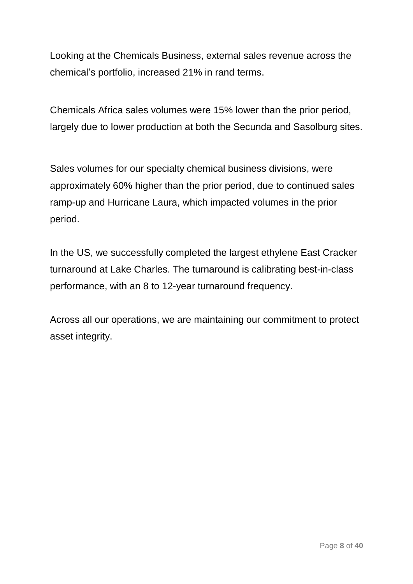Looking at the Chemicals Business, external sales revenue across the chemical's portfolio, increased 21% in rand terms.

Chemicals Africa sales volumes were 15% lower than the prior period, largely due to lower production at both the Secunda and Sasolburg sites.

Sales volumes for our specialty chemical business divisions, were approximately 60% higher than the prior period, due to continued sales ramp-up and Hurricane Laura, which impacted volumes in the prior period.

In the US, we successfully completed the largest ethylene East Cracker turnaround at Lake Charles. The turnaround is calibrating best-in-class performance, with an 8 to 12-year turnaround frequency.

Across all our operations, we are maintaining our commitment to protect asset integrity.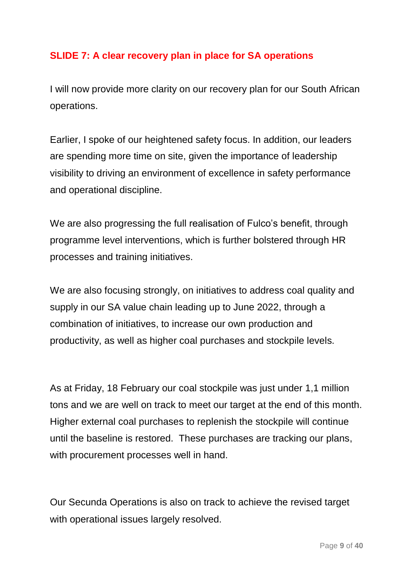## **SLIDE 7: A clear recovery plan in place for SA operations**

I will now provide more clarity on our recovery plan for our South African operations.

Earlier, I spoke of our heightened safety focus. In addition, our leaders are spending more time on site, given the importance of leadership visibility to driving an environment of excellence in safety performance and operational discipline.

We are also progressing the full realisation of Fulco's benefit, through programme level interventions, which is further bolstered through HR processes and training initiatives.

We are also focusing strongly, on initiatives to address coal quality and supply in our SA value chain leading up to June 2022, through a combination of initiatives, to increase our own production and productivity, as well as higher coal purchases and stockpile levels.

As at Friday, 18 February our coal stockpile was just under 1,1 million tons and we are well on track to meet our target at the end of this month. Higher external coal purchases to replenish the stockpile will continue until the baseline is restored. These purchases are tracking our plans, with procurement processes well in hand.

Our Secunda Operations is also on track to achieve the revised target with operational issues largely resolved.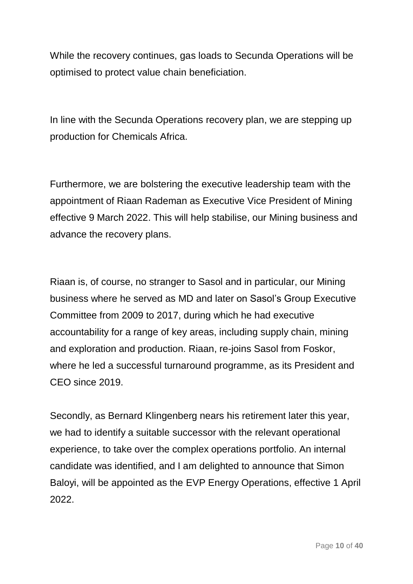While the recovery continues, gas loads to Secunda Operations will be optimised to protect value chain beneficiation.

In line with the Secunda Operations recovery plan, we are stepping up production for Chemicals Africa.

Furthermore, we are bolstering the executive leadership team with the appointment of Riaan Rademan as Executive Vice President of Mining effective 9 March 2022. This will help stabilise, our Mining business and advance the recovery plans.

Riaan is, of course, no stranger to Sasol and in particular, our Mining business where he served as MD and later on Sasol's Group Executive Committee from 2009 to 2017, during which he had executive accountability for a range of key areas, including supply chain, mining and exploration and production. Riaan, re-joins Sasol from Foskor, where he led a successful turnaround programme, as its President and CEO since 2019.

Secondly, as Bernard Klingenberg nears his retirement later this year, we had to identify a suitable successor with the relevant operational experience, to take over the complex operations portfolio. An internal candidate was identified, and I am delighted to announce that Simon Baloyi, will be appointed as the EVP Energy Operations, effective 1 April 2022.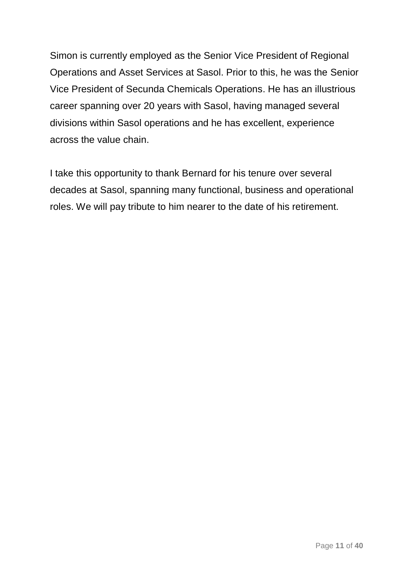Simon is currently employed as the Senior Vice President of Regional Operations and Asset Services at Sasol. Prior to this, he was the Senior Vice President of Secunda Chemicals Operations. He has an illustrious career spanning over 20 years with Sasol, having managed several divisions within Sasol operations and he has excellent, experience across the value chain.

I take this opportunity to thank Bernard for his tenure over several decades at Sasol, spanning many functional, business and operational roles. We will pay tribute to him nearer to the date of his retirement.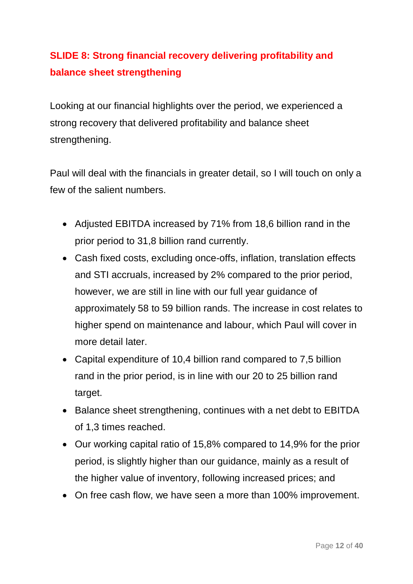# **SLIDE 8: Strong financial recovery delivering profitability and balance sheet strengthening**

Looking at our financial highlights over the period, we experienced a strong recovery that delivered profitability and balance sheet strengthening.

Paul will deal with the financials in greater detail, so I will touch on only a few of the salient numbers.

- Adjusted EBITDA increased by 71% from 18,6 billion rand in the prior period to 31,8 billion rand currently.
- Cash fixed costs, excluding once-offs, inflation, translation effects and STI accruals, increased by 2% compared to the prior period, however, we are still in line with our full year guidance of approximately 58 to 59 billion rands. The increase in cost relates to higher spend on maintenance and labour, which Paul will cover in more detail later.
- Capital expenditure of 10,4 billion rand compared to 7,5 billion rand in the prior period, is in line with our 20 to 25 billion rand target.
- Balance sheet strengthening, continues with a net debt to EBITDA of 1,3 times reached.
- Our working capital ratio of 15,8% compared to 14,9% for the prior period, is slightly higher than our guidance, mainly as a result of the higher value of inventory, following increased prices; and
- On free cash flow, we have seen a more than 100% improvement.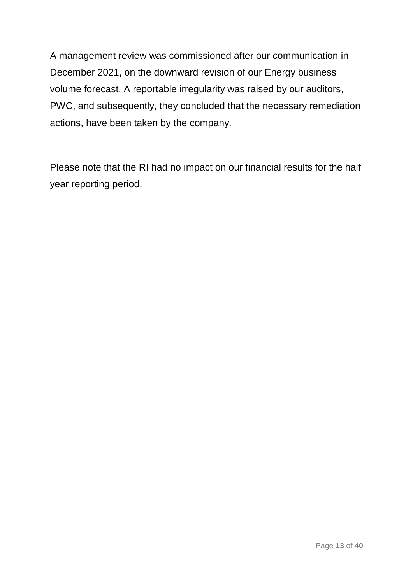A management review was commissioned after our communication in December 2021, on the downward revision of our Energy business volume forecast. A reportable irregularity was raised by our auditors, PWC, and subsequently, they concluded that the necessary remediation actions, have been taken by the company.

Please note that the RI had no impact on our financial results for the half year reporting period.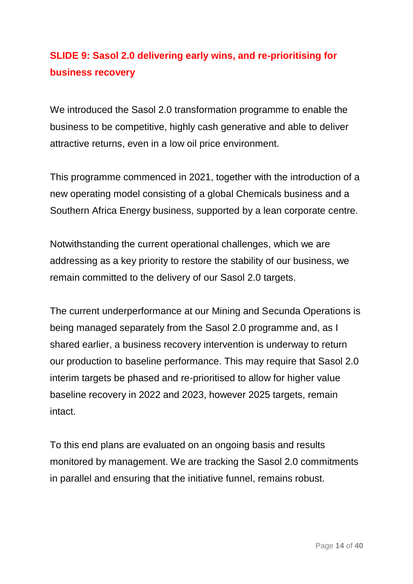## **SLIDE 9: Sasol 2.0 delivering early wins, and re-prioritising for business recovery**

We introduced the Sasol 2.0 transformation programme to enable the business to be competitive, highly cash generative and able to deliver attractive returns, even in a low oil price environment.

This programme commenced in 2021, together with the introduction of a new operating model consisting of a global Chemicals business and a Southern Africa Energy business, supported by a lean corporate centre.

Notwithstanding the current operational challenges, which we are addressing as a key priority to restore the stability of our business, we remain committed to the delivery of our Sasol 2.0 targets.

The current underperformance at our Mining and Secunda Operations is being managed separately from the Sasol 2.0 programme and, as I shared earlier, a business recovery intervention is underway to return our production to baseline performance. This may require that Sasol 2.0 interim targets be phased and re-prioritised to allow for higher value baseline recovery in 2022 and 2023, however 2025 targets, remain intact.

To this end plans are evaluated on an ongoing basis and results monitored by management. We are tracking the Sasol 2.0 commitments in parallel and ensuring that the initiative funnel, remains robust.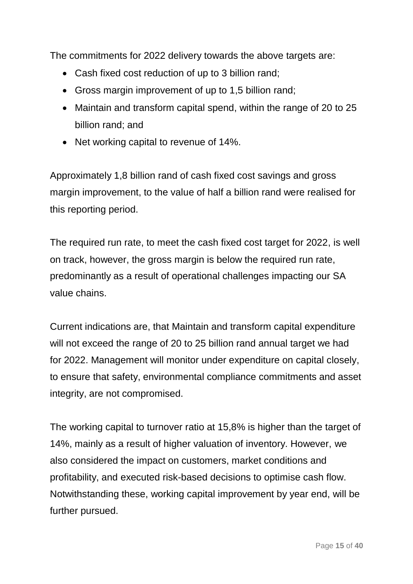The commitments for 2022 delivery towards the above targets are:

- Cash fixed cost reduction of up to 3 billion rand;
- Gross margin improvement of up to 1,5 billion rand;
- Maintain and transform capital spend, within the range of 20 to 25 billion rand; and
- Net working capital to revenue of 14%.

Approximately 1,8 billion rand of cash fixed cost savings and gross margin improvement, to the value of half a billion rand were realised for this reporting period.

The required run rate, to meet the cash fixed cost target for 2022, is well on track, however, the gross margin is below the required run rate, predominantly as a result of operational challenges impacting our SA value chains.

Current indications are, that Maintain and transform capital expenditure will not exceed the range of 20 to 25 billion rand annual target we had for 2022. Management will monitor under expenditure on capital closely, to ensure that safety, environmental compliance commitments and asset integrity, are not compromised.

The working capital to turnover ratio at 15,8% is higher than the target of 14%, mainly as a result of higher valuation of inventory. However, we also considered the impact on customers, market conditions and profitability, and executed risk-based decisions to optimise cash flow. Notwithstanding these, working capital improvement by year end, will be further pursued.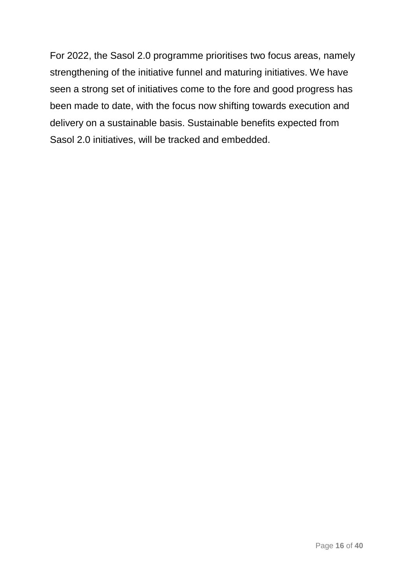For 2022, the Sasol 2.0 programme prioritises two focus areas, namely strengthening of the initiative funnel and maturing initiatives. We have seen a strong set of initiatives come to the fore and good progress has been made to date, with the focus now shifting towards execution and delivery on a sustainable basis. Sustainable benefits expected from Sasol 2.0 initiatives, will be tracked and embedded.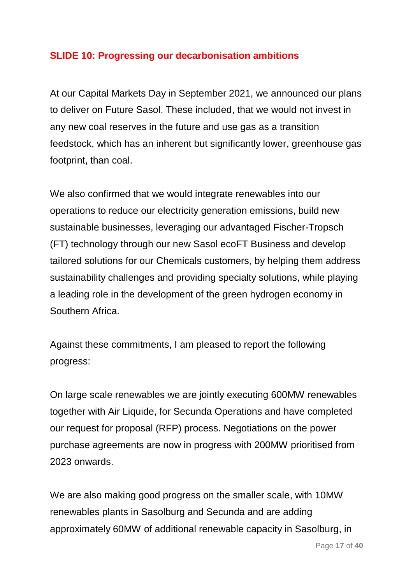#### **SLIDE 10: Progressing our decarbonisation ambitions**

At our Capital Markets Day in September 2021, we announced our plans to deliver on Future Sasol. These included, that we would not invest in any new coal reserves in the future and use gas as a transition feedstock, which has an inherent but significantly lower, greenhouse gas footprint, than coal.

We also confirmed that we would integrate renewables into our operations to reduce our electricity generation emissions, build new sustainable businesses, leveraging our advantaged Fischer-Tropsch (FT) technology through our new Sasol ecoFT Business and develop tailored solutions for our Chemicals customers, by helping them address sustainability challenges and providing specialty solutions, while playing a leading role in the development of the green hydrogen economy in Southern Africa.

Against these commitments, I am pleased to report the following progress:

On large scale renewables we are jointly executing 600MW renewables together with Air Liquide, for Secunda Operations and have completed our request for proposal (RFP) process. Negotiations on the power purchase agreements are now in progress with 200MW prioritised from 2023 onwards.

We are also making good progress on the smaller scale, with 10MW renewables plants in Sasolburg and Secunda and are adding approximately 60MW of additional renewable capacity in Sasolburg, in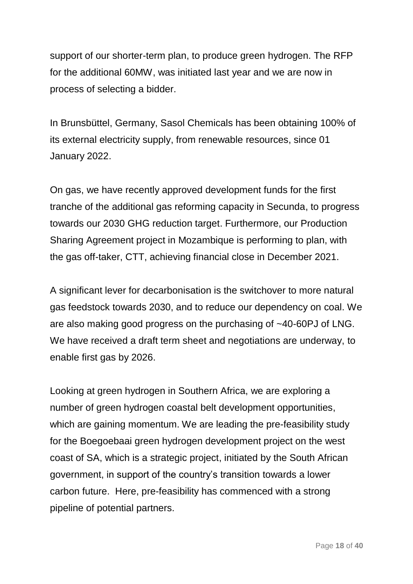support of our shorter-term plan, to produce green hydrogen. The RFP for the additional 60MW, was initiated last year and we are now in process of selecting a bidder.

In Brunsbüttel, Germany, Sasol Chemicals has been obtaining 100% of its external electricity supply, from renewable resources, since 01 January 2022.

On gas, we have recently approved development funds for the first tranche of the additional gas reforming capacity in Secunda, to progress towards our 2030 GHG reduction target. Furthermore, our Production Sharing Agreement project in Mozambique is performing to plan, with the gas off-taker, CTT, achieving financial close in December 2021.

A significant lever for decarbonisation is the switchover to more natural gas feedstock towards 2030, and to reduce our dependency on coal. We are also making good progress on the purchasing of ~40-60PJ of LNG. We have received a draft term sheet and negotiations are underway, to enable first gas by 2026.

Looking at green hydrogen in Southern Africa, we are exploring a number of green hydrogen coastal belt development opportunities, which are gaining momentum. We are leading the pre-feasibility study for the Boegoebaai green hydrogen development project on the west coast of SA, which is a strategic project, initiated by the South African government, in support of the country's transition towards a lower carbon future. Here, pre-feasibility has commenced with a strong pipeline of potential partners.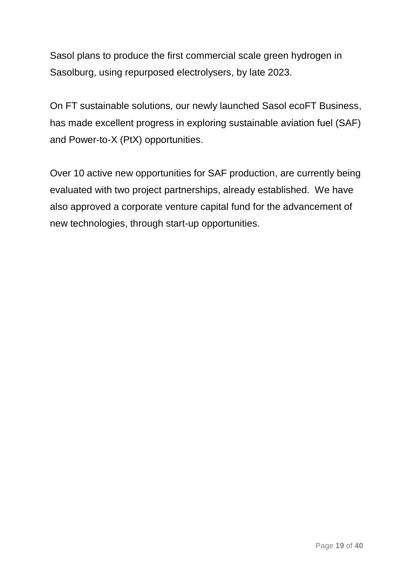Sasol plans to produce the first commercial scale green hydrogen in Sasolburg, using repurposed electrolysers, by late 2023.

On FT sustainable solutions, our newly launched Sasol ecoFT Business, has made excellent progress in exploring sustainable aviation fuel (SAF) and Power-to-X (PtX) opportunities.

Over 10 active new opportunities for SAF production, are currently being evaluated with two project partnerships, already established. We have also approved a corporate venture capital fund for the advancement of new technologies, through start-up opportunities.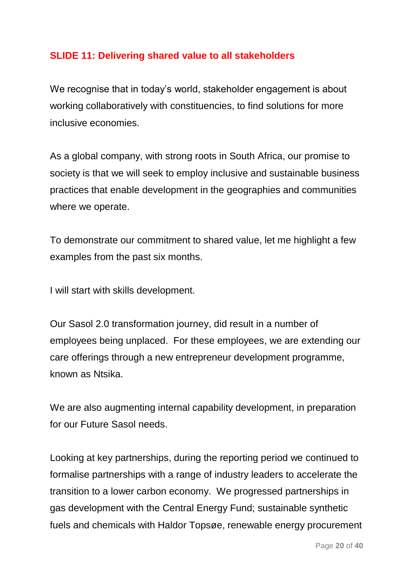### **SLIDE 11: Delivering shared value to all stakeholders**

We recognise that in today's world, stakeholder engagement is about working collaboratively with constituencies, to find solutions for more inclusive economies.

As a global company, with strong roots in South Africa, our promise to society is that we will seek to employ inclusive and sustainable business practices that enable development in the geographies and communities where we operate.

To demonstrate our commitment to shared value, let me highlight a few examples from the past six months.

I will start with skills development.

Our Sasol 2.0 transformation journey, did result in a number of employees being unplaced. For these employees, we are extending our care offerings through a new entrepreneur development programme, known as Ntsika.

We are also augmenting internal capability development, in preparation for our Future Sasol needs.

Looking at key partnerships, during the reporting period we continued to formalise partnerships with a range of industry leaders to accelerate the transition to a lower carbon economy. We progressed partnerships in gas development with the Central Energy Fund; sustainable synthetic fuels and chemicals with Haldor Topsøe, renewable energy procurement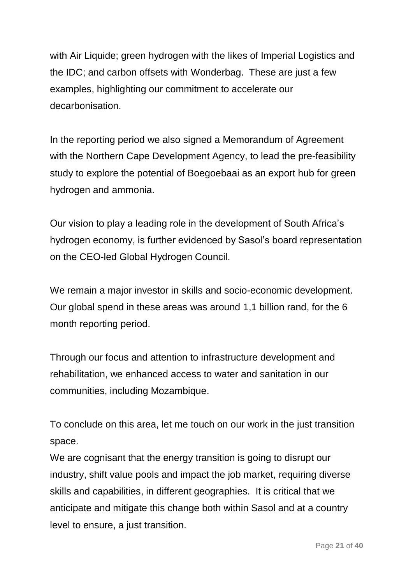with Air Liquide; green hydrogen with the likes of Imperial Logistics and the IDC; and carbon offsets with Wonderbag. These are just a few examples, highlighting our commitment to accelerate our decarbonisation.

In the reporting period we also signed a Memorandum of Agreement with the Northern Cape Development Agency, to lead the pre-feasibility study to explore the potential of Boegoebaai as an export hub for green hydrogen and ammonia.

Our vision to play a leading role in the development of South Africa's hydrogen economy, is further evidenced by Sasol's board representation on the CEO-led Global Hydrogen Council.

We remain a major investor in skills and socio-economic development. Our global spend in these areas was around 1,1 billion rand, for the 6 month reporting period.

Through our focus and attention to infrastructure development and rehabilitation, we enhanced access to water and sanitation in our communities, including Mozambique.

To conclude on this area, let me touch on our work in the just transition space.

We are cognisant that the energy transition is going to disrupt our industry, shift value pools and impact the job market, requiring diverse skills and capabilities, in different geographies. It is critical that we anticipate and mitigate this change both within Sasol and at a country level to ensure, a just transition.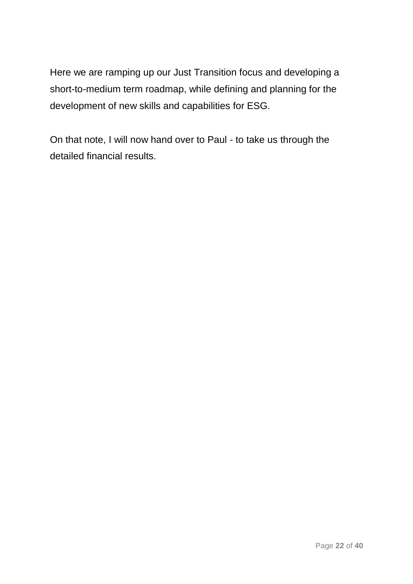Here we are ramping up our Just Transition focus and developing a short-to-medium term roadmap, while defining and planning for the development of new skills and capabilities for ESG.

On that note, I will now hand over to Paul - to take us through the detailed financial results.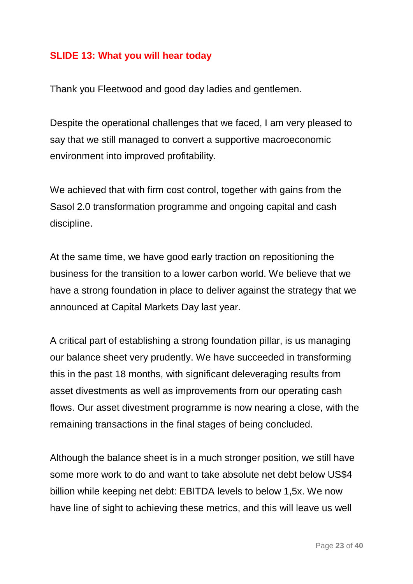#### **SLIDE 13: What you will hear today**

Thank you Fleetwood and good day ladies and gentlemen.

Despite the operational challenges that we faced, I am very pleased to say that we still managed to convert a supportive macroeconomic environment into improved profitability.

We achieved that with firm cost control, together with gains from the Sasol 2.0 transformation programme and ongoing capital and cash discipline.

At the same time, we have good early traction on repositioning the business for the transition to a lower carbon world. We believe that we have a strong foundation in place to deliver against the strategy that we announced at Capital Markets Day last year.

A critical part of establishing a strong foundation pillar, is us managing our balance sheet very prudently. We have succeeded in transforming this in the past 18 months, with significant deleveraging results from asset divestments as well as improvements from our operating cash flows. Our asset divestment programme is now nearing a close, with the remaining transactions in the final stages of being concluded.

Although the balance sheet is in a much stronger position, we still have some more work to do and want to take absolute net debt below US\$4 billion while keeping net debt: EBITDA levels to below 1,5x. We now have line of sight to achieving these metrics, and this will leave us well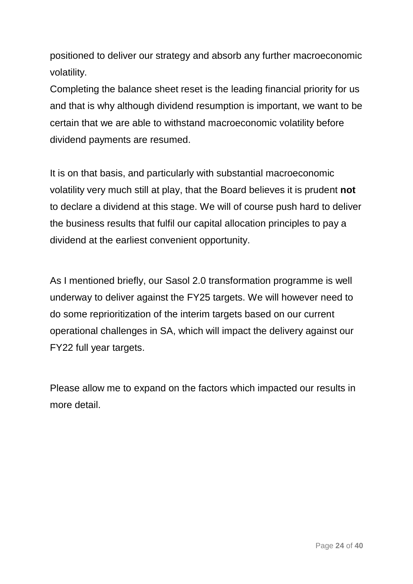positioned to deliver our strategy and absorb any further macroeconomic volatility.

Completing the balance sheet reset is the leading financial priority for us and that is why although dividend resumption is important, we want to be certain that we are able to withstand macroeconomic volatility before dividend payments are resumed.

It is on that basis, and particularly with substantial macroeconomic volatility very much still at play, that the Board believes it is prudent **not**  to declare a dividend at this stage. We will of course push hard to deliver the business results that fulfil our capital allocation principles to pay a dividend at the earliest convenient opportunity.

As I mentioned briefly, our Sasol 2.0 transformation programme is well underway to deliver against the FY25 targets. We will however need to do some reprioritization of the interim targets based on our current operational challenges in SA, which will impact the delivery against our FY22 full year targets.

Please allow me to expand on the factors which impacted our results in more detail.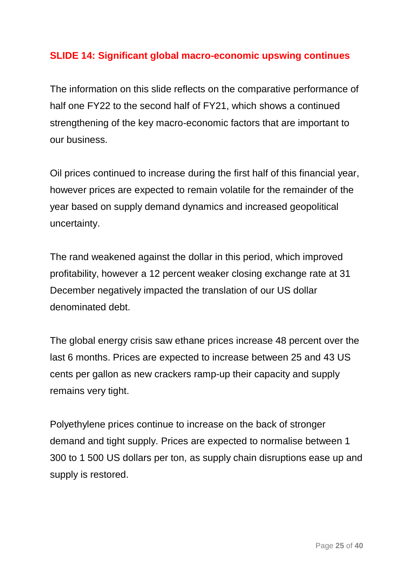## **SLIDE 14: Significant global macro-economic upswing continues**

The information on this slide reflects on the comparative performance of half one FY22 to the second half of FY21, which shows a continued strengthening of the key macro-economic factors that are important to our business.

Oil prices continued to increase during the first half of this financial year, however prices are expected to remain volatile for the remainder of the year based on supply demand dynamics and increased geopolitical uncertainty.

The rand weakened against the dollar in this period, which improved profitability, however a 12 percent weaker closing exchange rate at 31 December negatively impacted the translation of our US dollar denominated debt.

The global energy crisis saw ethane prices increase 48 percent over the last 6 months. Prices are expected to increase between 25 and 43 US cents per gallon as new crackers ramp-up their capacity and supply remains very tight.

Polyethylene prices continue to increase on the back of stronger demand and tight supply. Prices are expected to normalise between 1 300 to 1 500 US dollars per ton, as supply chain disruptions ease up and supply is restored.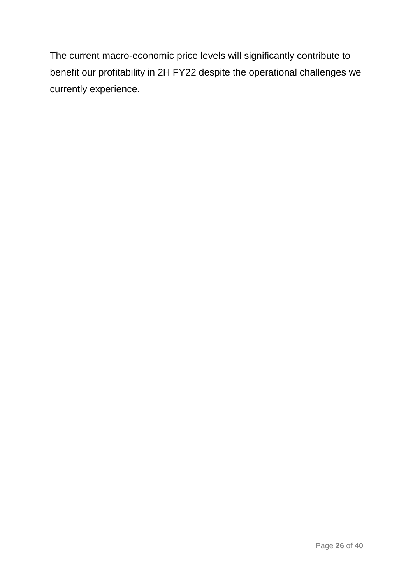The current macro-economic price levels will significantly contribute to benefit our profitability in 2H FY22 despite the operational challenges we currently experience.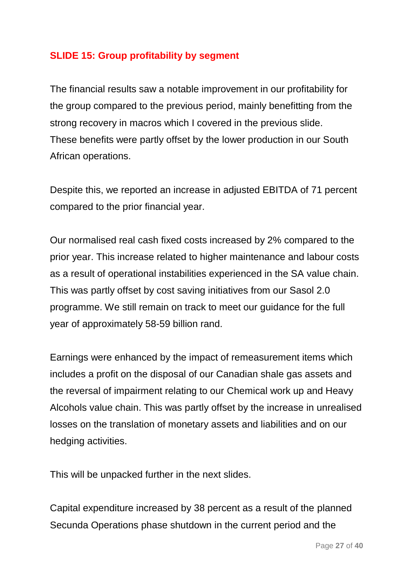## **SLIDE 15: Group profitability by segment**

The financial results saw a notable improvement in our profitability for the group compared to the previous period, mainly benefitting from the strong recovery in macros which I covered in the previous slide. These benefits were partly offset by the lower production in our South African operations.

Despite this, we reported an increase in adjusted EBITDA of 71 percent compared to the prior financial year.

Our normalised real cash fixed costs increased by 2% compared to the prior year. This increase related to higher maintenance and labour costs as a result of operational instabilities experienced in the SA value chain. This was partly offset by cost saving initiatives from our Sasol 2.0 programme. We still remain on track to meet our guidance for the full year of approximately 58-59 billion rand.

Earnings were enhanced by the impact of remeasurement items which includes a profit on the disposal of our Canadian shale gas assets and the reversal of impairment relating to our Chemical work up and Heavy Alcohols value chain. This was partly offset by the increase in unrealised losses on the translation of monetary assets and liabilities and on our hedging activities.

This will be unpacked further in the next slides.

Capital expenditure increased by 38 percent as a result of the planned Secunda Operations phase shutdown in the current period and the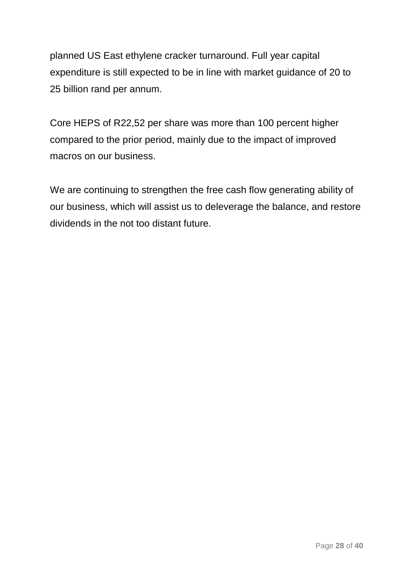planned US East ethylene cracker turnaround. Full year capital expenditure is still expected to be in line with market guidance of 20 to 25 billion rand per annum.

Core HEPS of R22,52 per share was more than 100 percent higher compared to the prior period, mainly due to the impact of improved macros on our business.

We are continuing to strengthen the free cash flow generating ability of our business, which will assist us to deleverage the balance, and restore dividends in the not too distant future.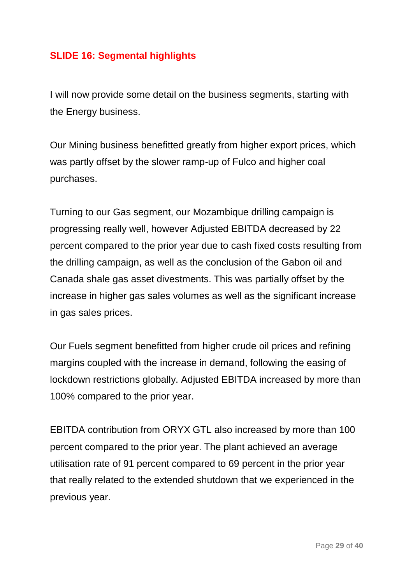## **SLIDE 16: Segmental highlights**

I will now provide some detail on the business segments, starting with the Energy business.

Our Mining business benefitted greatly from higher export prices, which was partly offset by the slower ramp-up of Fulco and higher coal purchases.

Turning to our Gas segment, our Mozambique drilling campaign is progressing really well, however Adjusted EBITDA decreased by 22 percent compared to the prior year due to cash fixed costs resulting from the drilling campaign, as well as the conclusion of the Gabon oil and Canada shale gas asset divestments. This was partially offset by the increase in higher gas sales volumes as well as the significant increase in gas sales prices.

Our Fuels segment benefitted from higher crude oil prices and refining margins coupled with the increase in demand, following the easing of lockdown restrictions globally. Adjusted EBITDA increased by more than 100% compared to the prior year.

EBITDA contribution from ORYX GTL also increased by more than 100 percent compared to the prior year. The plant achieved an average utilisation rate of 91 percent compared to 69 percent in the prior year that really related to the extended shutdown that we experienced in the previous year.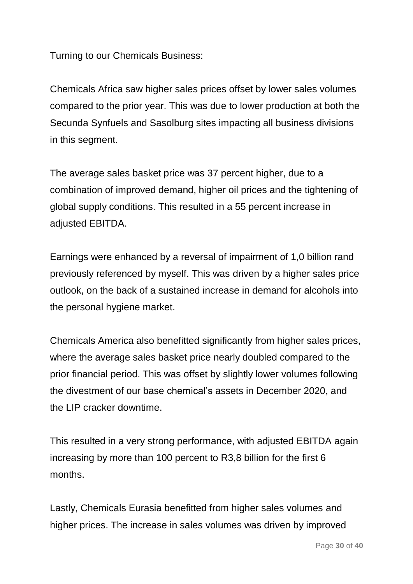Turning to our Chemicals Business:

Chemicals Africa saw higher sales prices offset by lower sales volumes compared to the prior year. This was due to lower production at both the Secunda Synfuels and Sasolburg sites impacting all business divisions in this segment.

The average sales basket price was 37 percent higher, due to a combination of improved demand, higher oil prices and the tightening of global supply conditions. This resulted in a 55 percent increase in adjusted EBITDA.

Earnings were enhanced by a reversal of impairment of 1,0 billion rand previously referenced by myself. This was driven by a higher sales price outlook, on the back of a sustained increase in demand for alcohols into the personal hygiene market.

Chemicals America also benefitted significantly from higher sales prices, where the average sales basket price nearly doubled compared to the prior financial period. This was offset by slightly lower volumes following the divestment of our base chemical's assets in December 2020, and the LIP cracker downtime.

This resulted in a very strong performance, with adjusted EBITDA again increasing by more than 100 percent to R3,8 billion for the first 6 months.

Lastly, Chemicals Eurasia benefitted from higher sales volumes and higher prices. The increase in sales volumes was driven by improved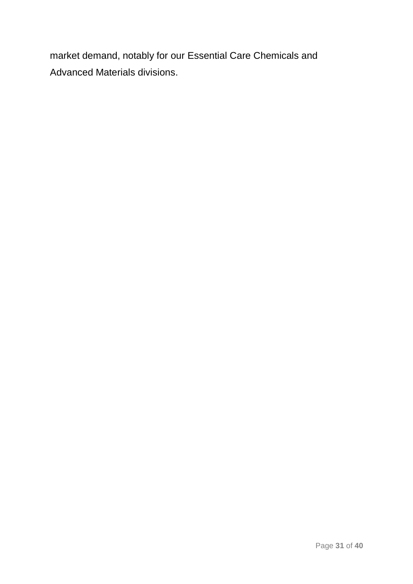market demand, notably for our Essential Care Chemicals and Advanced Materials divisions.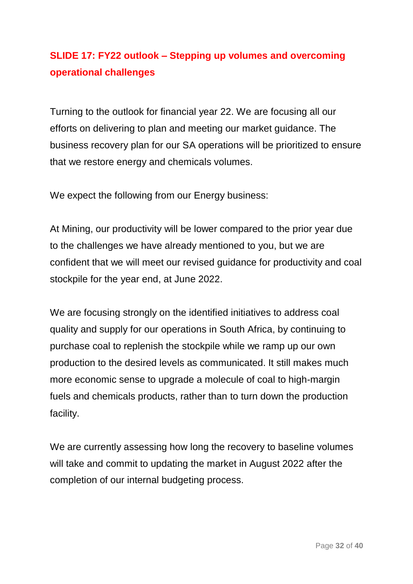## **SLIDE 17: FY22 outlook – Stepping up volumes and overcoming operational challenges**

Turning to the outlook for financial year 22. We are focusing all our efforts on delivering to plan and meeting our market guidance. The business recovery plan for our SA operations will be prioritized to ensure that we restore energy and chemicals volumes.

We expect the following from our Energy business:

At Mining, our productivity will be lower compared to the prior year due to the challenges we have already mentioned to you, but we are confident that we will meet our revised guidance for productivity and coal stockpile for the year end, at June 2022.

We are focusing strongly on the identified initiatives to address coal quality and supply for our operations in South Africa, by continuing to purchase coal to replenish the stockpile while we ramp up our own production to the desired levels as communicated. It still makes much more economic sense to upgrade a molecule of coal to high-margin fuels and chemicals products, rather than to turn down the production facility.

We are currently assessing how long the recovery to baseline volumes will take and commit to updating the market in August 2022 after the completion of our internal budgeting process.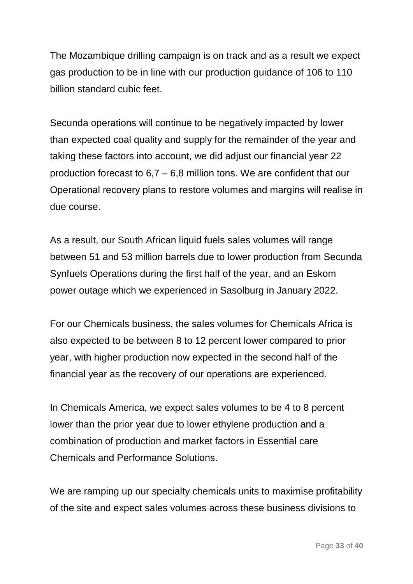The Mozambique drilling campaign is on track and as a result we expect gas production to be in line with our production guidance of 106 to 110 billion standard cubic feet.

Secunda operations will continue to be negatively impacted by lower than expected coal quality and supply for the remainder of the year and taking these factors into account, we did adjust our financial year 22 production forecast to 6,7 – 6,8 million tons. We are confident that our Operational recovery plans to restore volumes and margins will realise in due course.

As a result, our South African liquid fuels sales volumes will range between 51 and 53 million barrels due to lower production from Secunda Synfuels Operations during the first half of the year, and an Eskom power outage which we experienced in Sasolburg in January 2022.

For our Chemicals business, the sales volumes for Chemicals Africa is also expected to be between 8 to 12 percent lower compared to prior year, with higher production now expected in the second half of the financial year as the recovery of our operations are experienced.

In Chemicals America, we expect sales volumes to be 4 to 8 percent lower than the prior year due to lower ethylene production and a combination of production and market factors in Essential care Chemicals and Performance Solutions.

We are ramping up our specialty chemicals units to maximise profitability of the site and expect sales volumes across these business divisions to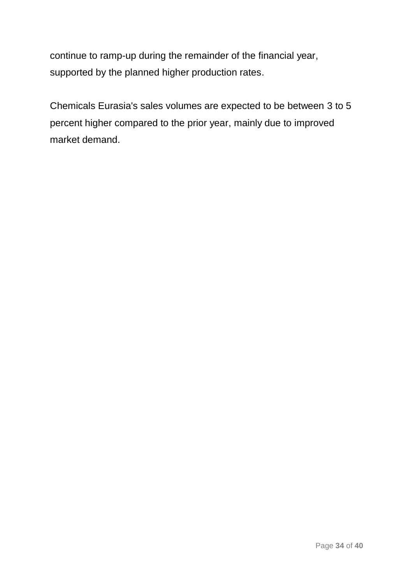continue to ramp-up during the remainder of the financial year, supported by the planned higher production rates.

Chemicals Eurasia's sales volumes are expected to be between 3 to 5 percent higher compared to the prior year, mainly due to improved market demand.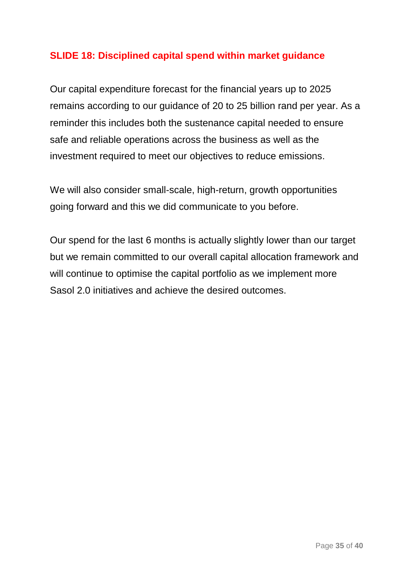### **SLIDE 18: Disciplined capital spend within market guidance**

Our capital expenditure forecast for the financial years up to 2025 remains according to our guidance of 20 to 25 billion rand per year. As a reminder this includes both the sustenance capital needed to ensure safe and reliable operations across the business as well as the investment required to meet our objectives to reduce emissions.

We will also consider small-scale, high-return, growth opportunities going forward and this we did communicate to you before.

Our spend for the last 6 months is actually slightly lower than our target but we remain committed to our overall capital allocation framework and will continue to optimise the capital portfolio as we implement more Sasol 2.0 initiatives and achieve the desired outcomes.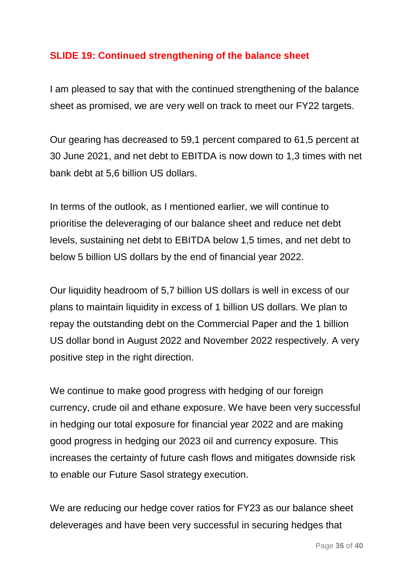### **SLIDE 19: Continued strengthening of the balance sheet**

I am pleased to say that with the continued strengthening of the balance sheet as promised, we are very well on track to meet our FY22 targets.

Our gearing has decreased to 59,1 percent compared to 61,5 percent at 30 June 2021, and net debt to EBITDA is now down to 1,3 times with net bank debt at 5,6 billion US dollars.

In terms of the outlook, as I mentioned earlier, we will continue to prioritise the deleveraging of our balance sheet and reduce net debt levels, sustaining net debt to EBITDA below 1,5 times, and net debt to below 5 billion US dollars by the end of financial year 2022.

Our liquidity headroom of 5,7 billion US dollars is well in excess of our plans to maintain liquidity in excess of 1 billion US dollars. We plan to repay the outstanding debt on the Commercial Paper and the 1 billion US dollar bond in August 2022 and November 2022 respectively. A very positive step in the right direction.

We continue to make good progress with hedging of our foreign currency, crude oil and ethane exposure. We have been very successful in hedging our total exposure for financial year 2022 and are making good progress in hedging our 2023 oil and currency exposure. This increases the certainty of future cash flows and mitigates downside risk to enable our Future Sasol strategy execution.

We are reducing our hedge cover ratios for FY23 as our balance sheet deleverages and have been very successful in securing hedges that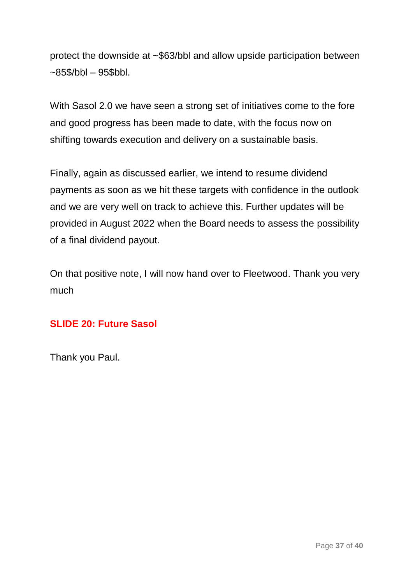protect the downside at ~\$63/bbl and allow upside participation between  $-85$ \$/bbl  $-95$ \$bbl.

With Sasol 2.0 we have seen a strong set of initiatives come to the fore and good progress has been made to date, with the focus now on shifting towards execution and delivery on a sustainable basis.

Finally, again as discussed earlier, we intend to resume dividend payments as soon as we hit these targets with confidence in the outlook and we are very well on track to achieve this. Further updates will be provided in August 2022 when the Board needs to assess the possibility of a final dividend payout.

On that positive note, I will now hand over to Fleetwood. Thank you very much

#### **SLIDE 20: Future Sasol**

Thank you Paul.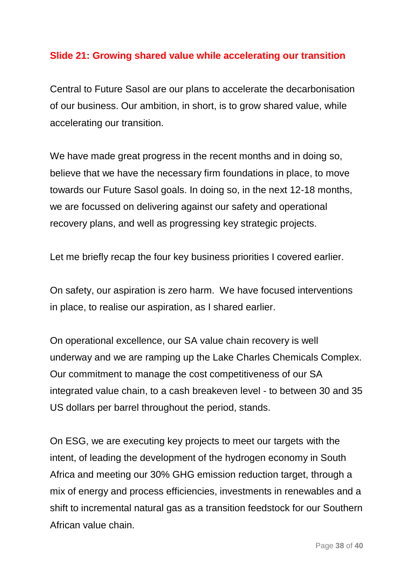#### **Slide 21: Growing shared value while accelerating our transition**

Central to Future Sasol are our plans to accelerate the decarbonisation of our business. Our ambition, in short, is to grow shared value, while accelerating our transition.

We have made great progress in the recent months and in doing so, believe that we have the necessary firm foundations in place, to move towards our Future Sasol goals. In doing so, in the next 12-18 months, we are focussed on delivering against our safety and operational recovery plans, and well as progressing key strategic projects.

Let me briefly recap the four key business priorities I covered earlier.

On safety, our aspiration is zero harm. We have focused interventions in place, to realise our aspiration, as I shared earlier.

On operational excellence, our SA value chain recovery is well underway and we are ramping up the Lake Charles Chemicals Complex. Our commitment to manage the cost competitiveness of our SA integrated value chain, to a cash breakeven level - to between 30 and 35 US dollars per barrel throughout the period, stands.

On ESG, we are executing key projects to meet our targets with the intent, of leading the development of the hydrogen economy in South Africa and meeting our 30% GHG emission reduction target, through a mix of energy and process efficiencies, investments in renewables and a shift to incremental natural gas as a transition feedstock for our Southern African value chain.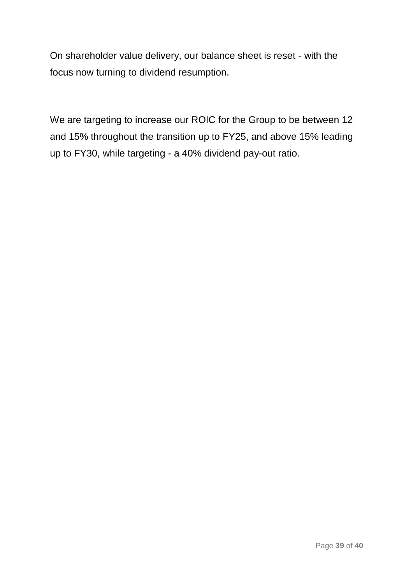On shareholder value delivery, our balance sheet is reset - with the focus now turning to dividend resumption.

We are targeting to increase our ROIC for the Group to be between 12 and 15% throughout the transition up to FY25, and above 15% leading up to FY30, while targeting - a 40% dividend pay-out ratio.